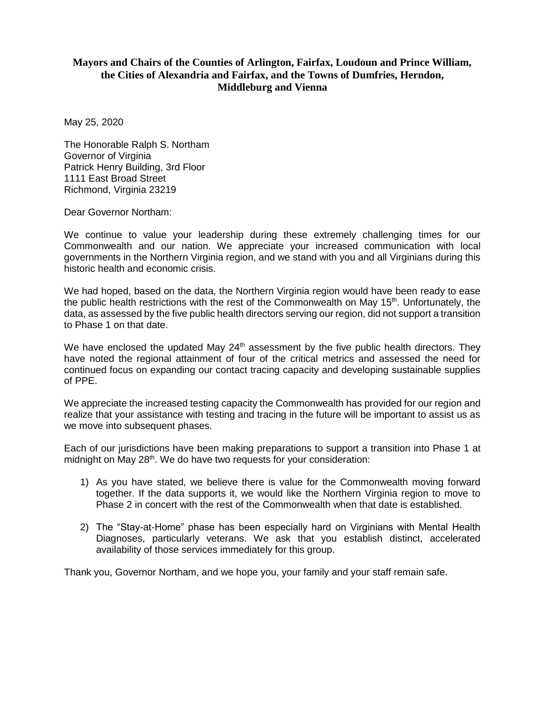## **Mayors and Chairs of the Counties of Arlington, Fairfax, Loudoun and Prince William, the Cities of Alexandria and Fairfax, and the Towns of Dumfries, Herndon, Middleburg and Vienna**

May 25, 2020

The Honorable Ralph S. Northam Governor of Virginia Patrick Henry Building, 3rd Floor 1111 East Broad Street Richmond, Virginia 23219

Dear Governor Northam:

We continue to value your leadership during these extremely challenging times for our Commonwealth and our nation. We appreciate your increased communication with local governments in the Northern Virginia region, and we stand with you and all Virginians during this historic health and economic crisis.

We had hoped, based on the data, the Northern Virginia region would have been ready to ease the public health restrictions with the rest of the Commonwealth on May 15<sup>th</sup>. Unfortunately, the data, as assessed by the five public health directors serving our region, did not support a transition to Phase 1 on that date.

We have enclosed the updated May  $24<sup>th</sup>$  assessment by the five public health directors. They have noted the regional attainment of four of the critical metrics and assessed the need for continued focus on expanding our contact tracing capacity and developing sustainable supplies of PPE.

We appreciate the increased testing capacity the Commonwealth has provided for our region and realize that your assistance with testing and tracing in the future will be important to assist us as we move into subsequent phases.

Each of our jurisdictions have been making preparations to support a transition into Phase 1 at midnight on May 28<sup>th</sup>. We do have two requests for your consideration:

- 1) As you have stated, we believe there is value for the Commonwealth moving forward together. If the data supports it, we would like the Northern Virginia region to move to Phase 2 in concert with the rest of the Commonwealth when that date is established.
- 2) The "Stay-at-Home" phase has been especially hard on Virginians with Mental Health Diagnoses, particularly veterans. We ask that you establish distinct, accelerated availability of those services immediately for this group.

Thank you, Governor Northam, and we hope you, your family and your staff remain safe.